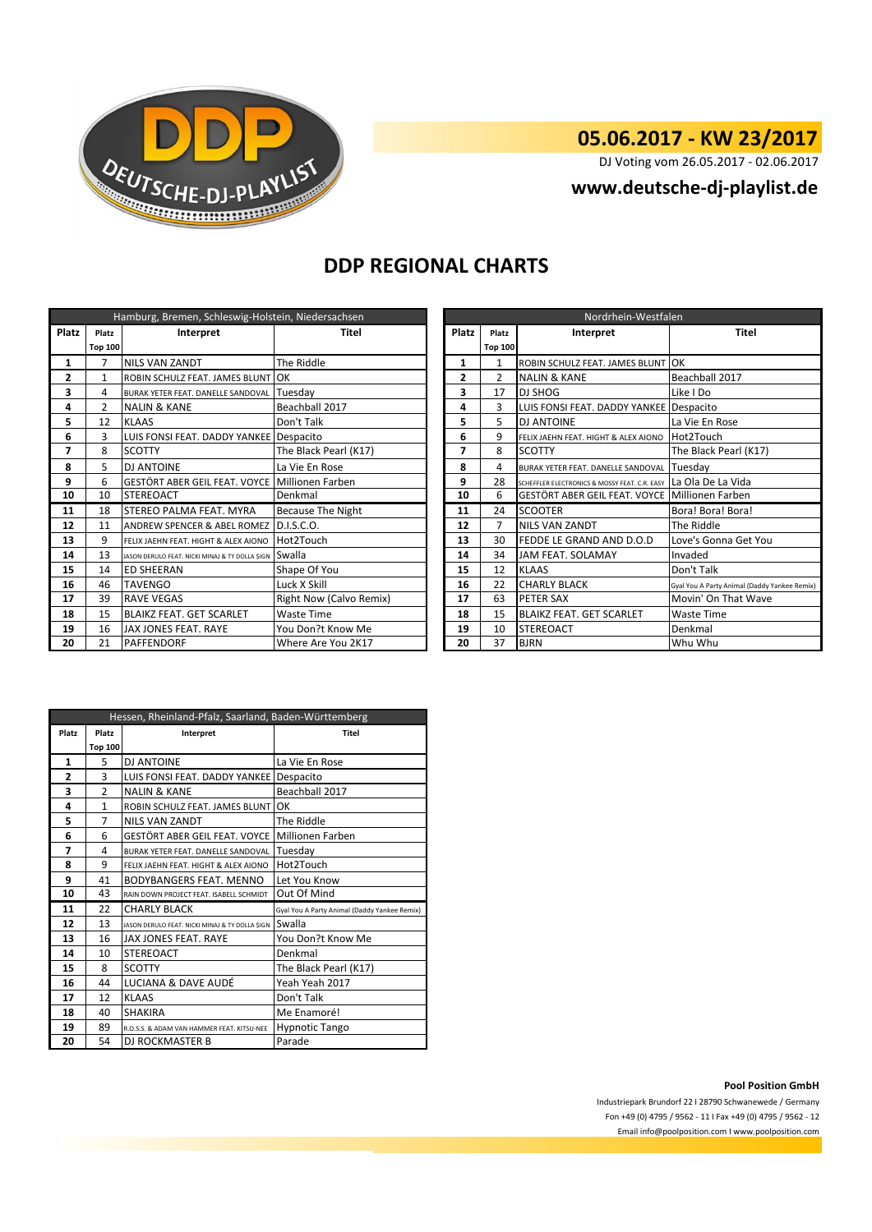

## **05.06.2017 - KW 23/2017**

DJ Voting vom 26.05.2017 - 02.06.2017

**www.deutsche-dj-playlist.de**

## **DDP REGIONAL CHARTS**

| Hamburg, Bremen, Schleswig-Holstein, Niedersachsen |                |                                                        |                                |                | Nordrhein-Westfalen |                                                                 |                                 |  |
|----------------------------------------------------|----------------|--------------------------------------------------------|--------------------------------|----------------|---------------------|-----------------------------------------------------------------|---------------------------------|--|
| Platz                                              | Platz          | Interpret                                              | Platz<br>Titel                 |                | Platz               | Interpret                                                       | Titel                           |  |
|                                                    | <b>Top 100</b> |                                                        |                                |                | <b>Top 100</b>      |                                                                 |                                 |  |
| 1                                                  | 7              | <b>NILS VAN ZANDT</b>                                  | The Riddle                     | 1              | 1                   | ROBIN SCHULZ FEAT. JAMES BLUNT                                  | OK                              |  |
| $\overline{2}$                                     | 1              | ROBIN SCHULZ FEAT. JAMES BLUNT OK                      |                                | $\overline{2}$ | $\mathcal{P}$       | <b>NALIN &amp; KANE</b>                                         | Beachball 2017                  |  |
| 3                                                  | 4              | BURAK YETER FEAT. DANELLE SANDOVAL                     | Tuesdav                        | 3              | 17                  | <b>DJ SHOG</b>                                                  | Like I Do                       |  |
| 4                                                  | $\mathcal{P}$  | <b>NALIN &amp; KANE</b>                                | Beachball 2017                 | 4              | 3                   | LUIS FONSI FEAT. DADDY YANKEE Despacito                         |                                 |  |
| 5                                                  | 12             | <b>KLAAS</b>                                           | Don't Talk                     | 5              | 5                   | <b>DJ ANTOINE</b>                                               | La Vie En Rose                  |  |
| 6                                                  | 3              | LUIS FONSI FEAT. DADDY YANKEE Despacito                |                                | 6              | 9                   | FELIX JAEHN FEAT. HIGHT & ALEX AIONO                            | Hot2Touch                       |  |
| 7                                                  | 8              | <b>SCOTTY</b>                                          | The Black Pearl (K17)          | 7              | 8                   | <b>SCOTTY</b>                                                   | The Black Pearl (K17)           |  |
| 8                                                  | 5              | <b>DJ ANTOINE</b>                                      | 8<br>La Vie En Rose            |                | 4                   | BURAK YETER FEAT. DANELLE SANDOVAL                              | Tuesdav                         |  |
| 9                                                  | 6              | GESTÖRT ABER GEIL FEAT. VOYCE Millionen Farben         |                                | 9              | 28                  | SCHEFFLER ELECTRONICS & MOSSY FEAT. C.R. EASY La Ola De La Vida |                                 |  |
| 10                                                 | 10             | <b>STEREOACT</b>                                       | Denkmal                        | 10             | 6                   | GESTÖRT ABER GEIL FEAT. VOYCE Millionen Farben                  |                                 |  |
| 11                                                 | 18             | STEREO PALMA FEAT. MYRA                                | Because The Night              | 11             | 24                  | <b>SCOOTER</b>                                                  | Bora! Bora! Bora!               |  |
| 12                                                 | 11             | ANDREW SPENCER & ABEL ROMEZ D.I.S.C.O.                 |                                | 12             | 7                   | <b>NILS VAN ZANDT</b>                                           | The Riddle                      |  |
| 13                                                 | 9              | FELIX JAEHN FEAT. HIGHT & ALEX AIONO                   | Hot2Touch                      | 13             | 30                  | FEDDE LE GRAND AND D.O.D                                        | Love's Gonna Get You            |  |
| 14                                                 | 13             | JASON DERULO FEAT. NICKI MINAJ & TY DOLLA \$IGN SWALLA |                                | 14             | 34                  | JAM FEAT. SOLAMAY                                               | Invaded                         |  |
| 15                                                 | 14             | <b>ED SHEERAN</b>                                      | Shape Of You                   | 15             | 12                  | <b>KLAAS</b>                                                    | Don't Talk                      |  |
| 16                                                 | 46             | <b>TAVENGO</b>                                         | Luck X Skill                   | 16             | 22                  | <b>CHARLY BLACK</b>                                             | Gyal You A Party Animal (Daddy' |  |
| 17                                                 | 39             | <b>RAVE VEGAS</b>                                      | <b>Right Now (Calvo Remix)</b> | 17             | 63                  | PETER SAX                                                       | Movin' On That Wave             |  |
| 18                                                 | 15             | <b>BLAIKZ FEAT. GET SCARLET</b>                        | <b>Waste Time</b>              | 18             | 15                  | <b>BLAIKZ FEAT. GET SCARLET</b>                                 | Waste Time                      |  |
| 19                                                 | 16             | JAX JONES FEAT. RAYE                                   | You Don?t Know Me              | 19             | 10                  | <b>STEREOACT</b>                                                | Denkmal                         |  |
| 20                                                 | 21             | <b>PAFFENDORF</b>                                      | Where Are You 2K17             | 20             | 37                  | <b>BJRN</b>                                                     | Whu Whu                         |  |

|                | Hamburg, Bremen, Schleswig-Holstein, Niedersachsen |                                                |                                |       | Nordrhein-Westfalen |                                                |                                              |  |  |
|----------------|----------------------------------------------------|------------------------------------------------|--------------------------------|-------|---------------------|------------------------------------------------|----------------------------------------------|--|--|
| latz           | Platz                                              | Interpret                                      | Titel                          | Platz | Platz               | Interpret                                      | <b>Titel</b>                                 |  |  |
|                | <b>Top 100</b>                                     |                                                |                                |       | Top 100             |                                                |                                              |  |  |
| 1              | $\overline{7}$                                     | <b>NILS VAN ZANDT</b>                          | The Riddle                     | 1     |                     | ROBIN SCHULZ FEAT. JAMES BLUNT OK              |                                              |  |  |
| $\overline{2}$ |                                                    | ROBIN SCHULZ FEAT. JAMES BLUNT                 | <b>IOK</b>                     | 2     |                     | <b>NALIN &amp; KANE</b>                        | Beachball 2017                               |  |  |
| 3              | 4                                                  | BURAK YETER FEAT. DANELLE SANDOVAL             | Tuesdav                        | 3     | 17                  | <b>DJ SHOG</b>                                 | Like I Do                                    |  |  |
| 4              | $\overline{2}$                                     | <b>NALIN &amp; KANE</b>                        | Beachball 2017                 | 4     | 3                   | LUIS FONSI FEAT. DADDY YANKEE                  | Despacito                                    |  |  |
| 5              | 12                                                 | <b>KLAAS</b>                                   | Don't Talk                     | 5     | 5.                  | <b>DJ ANTOINE</b>                              | La Vie En Rose                               |  |  |
| 6              | 3                                                  | LUIS FONSI FEAT. DADDY YANKEE Despacito        |                                | 6     | 9                   | FELIX JAEHN FEAT. HIGHT & ALEX AIONO           | Hot2Touch                                    |  |  |
| 7              | 8                                                  | <b>SCOTTY</b>                                  | The Black Pearl (K17)          | 7     | 8                   | <b>SCOTTY</b>                                  | The Black Pearl (K17)                        |  |  |
| 8              | 5                                                  | <b>DJ ANTOINE</b>                              | La Vie En Rose                 | 8     | 4                   | BURAK YETER FEAT. DANELLE SANDOVAL             | Tuesdav                                      |  |  |
| 9              | 6                                                  | GESTÖRT ABER GEIL FEAT. VOYCE                  | Millionen Farben               | 9     | 28                  | SCHEFFLER ELECTRONICS & MOSSY FEAT. C.R. EASY  | La Ola De La Vida                            |  |  |
| 10             | 10                                                 | <b>STEREOACT</b>                               | Denkmal                        | 10    | 6                   | GESTÖRT ABER GEIL FEAT. VOYCE Millionen Farben |                                              |  |  |
| 11             | 18                                                 | STEREO PALMA FEAT. MYRA                        | <b>Because The Night</b>       | 11    | 24                  | <b>SCOOTER</b>                                 | Bora! Bora! Bora!                            |  |  |
| 12             | 11                                                 | <b>ANDREW SPENCER &amp; ABEL ROMEZ</b>         | D.I.S.C.O.                     | 12    |                     | <b>NILS VAN ZANDT</b>                          | The Riddle                                   |  |  |
| 13             | 9                                                  | FELIX JAEHN FEAT. HIGHT & ALEX AIONO           | Hot2Touch                      | 13    | 30                  | FEDDE LE GRAND AND D.O.D                       | Love's Gonna Get You                         |  |  |
| 14             | 13                                                 | JASON DERULO FEAT. NICKI MINAJ & TY DOLLA SIGN | Swalla                         | 14    | 34                  | <b>JAM FEAT, SOLAMAY</b>                       | Invaded                                      |  |  |
| 15             | 14                                                 | <b>ED SHEERAN</b>                              | Shape Of You                   | 15    | 12                  | <b>KLAAS</b>                                   | Don't Talk                                   |  |  |
| 16             | 46                                                 | <b>TAVENGO</b>                                 | Luck X Skill                   | 16    | 22                  | <b>CHARLY BLACK</b>                            | Gyal You A Party Animal (Daddy Yankee Remix) |  |  |
| 17             | 39                                                 | <b>RAVE VEGAS</b>                              | <b>Right Now (Calvo Remix)</b> | 17    | 63                  | PETER SAX                                      | Movin' On That Wave                          |  |  |
| 18             | 15                                                 | <b>BLAIKZ FEAT. GET SCARLET</b>                | <b>Waste Time</b>              | 18    | 15                  | <b>BLAIKZ FEAT. GET SCARLET</b>                | <b>Waste Time</b>                            |  |  |
| 19             | 16                                                 | JAX JONES FEAT. RAYE                           | You Don?t Know Me              | 19    | 10                  | <b>STEREOACT</b>                               | Denkmal                                      |  |  |
| 20             | 21                                                 | <b>PAFFENDORF</b>                              | Where Are You 2K17             | 20    | 37                  | <b>BJRN</b>                                    | Whu Whu                                      |  |  |

| Hessen, Rheinland-Pfalz, Saarland, Baden-Württemberg |                    |                                                 |                                              |  |  |  |
|------------------------------------------------------|--------------------|-------------------------------------------------|----------------------------------------------|--|--|--|
| Platz                                                | Platz<br>Interpret |                                                 | Titel                                        |  |  |  |
|                                                      | <b>Top 100</b>     |                                                 |                                              |  |  |  |
| 1                                                    | 5                  | DJ ANTOINE                                      | La Vie En Rose                               |  |  |  |
| $\overline{2}$                                       | 3                  | LUIS FONSI FEAT. DADDY YANKEE   Despacito       |                                              |  |  |  |
| 3                                                    | $\overline{2}$     | <b>NALIN &amp; KANE</b>                         | Beachball 2017                               |  |  |  |
| 4                                                    | 1                  | ROBIN SCHULZ FEAT. JAMES BLUNT OK               |                                              |  |  |  |
| 5                                                    | 7                  | <b>NILS VAN ZANDT</b>                           | The Riddle                                   |  |  |  |
| 6                                                    | 6                  | GESTÖRT ABER GEIL FEAT. VOYCE                   | <b>Millionen Farben</b>                      |  |  |  |
| 7                                                    | 4                  | BURAK YETER FEAT. DANELLE SANDOVAL              | Tuesday                                      |  |  |  |
| 8                                                    | 9                  | FELIX JAEHN FEAT. HIGHT & ALEX AIONO            | Hot2Touch                                    |  |  |  |
| 9                                                    | 41                 | BODYBANGERS FEAT. MENNO                         | Let You Know                                 |  |  |  |
| 10                                                   | 43                 | RAIN DOWN PROJECT FEAT. ISABELL SCHMIDT         | Out Of Mind                                  |  |  |  |
| 11                                                   | 22                 | <b>CHARLY BLACK</b>                             | Gyal You A Party Animal (Daddy Yankee Remix) |  |  |  |
| 12                                                   | 13                 | JASON DERULO FEAT. NICKI MINAJ & TY DOLLA \$IGN | Swalla                                       |  |  |  |
| 13                                                   | 16                 | JAX JONES FEAT. RAYE                            | You Don?t Know Me                            |  |  |  |
| 14                                                   | 10                 | <b>STEREOACT</b>                                | Denkmal                                      |  |  |  |
| 15                                                   | 8                  | <b>SCOTTY</b>                                   | The Black Pearl (K17)                        |  |  |  |
| 16                                                   | 44                 | LUCIANA & DAVE AUDÉ                             | Yeah Yeah 2017                               |  |  |  |
| 17                                                   | 12                 | <b>KLAAS</b>                                    | Don't Talk                                   |  |  |  |
| 18                                                   | 40                 | SHAKIRA                                         | Me Enamoré!                                  |  |  |  |
| 19                                                   | 89                 | R.O.S.S. & ADAM VAN HAMMER FEAT. KITSU-NEE      | <b>Hypnotic Tango</b>                        |  |  |  |
| 20                                                   | 54                 | DJ ROCKMASTER B                                 | Parade                                       |  |  |  |

**Pool Position GmbH**

Industriepark Brundorf 22 I 28790 Schwanewede / Germany Fon +49 (0) 4795 / 9562 - 11 I Fax +49 (0) 4795 / 9562 - 12 Email info@poolposition.com I www.poolposition.com